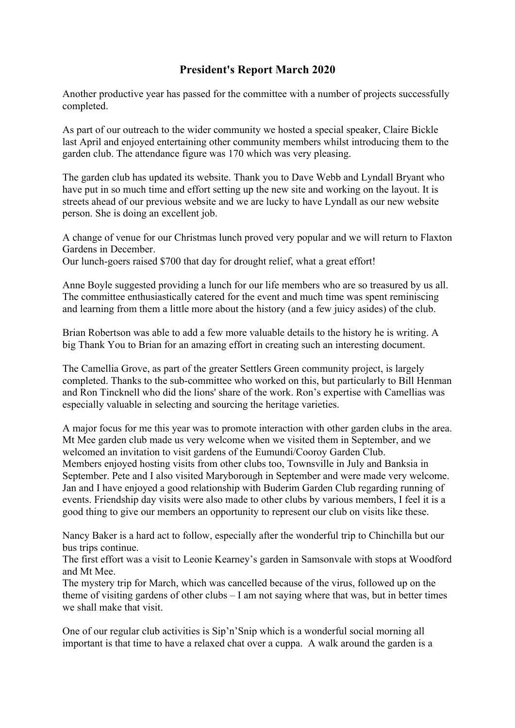## **President's Report March 2020**

Another productive year has passed for the committee with a number of projects successfully completed.

As part of our outreach to the wider community we hosted a special speaker, Claire Bickle last April and enjoyed entertaining other community members whilst introducing them to the garden club. The attendance figure was 170 which was very pleasing.

The garden club has updated its website. Thank you to Dave Webb and Lyndall Bryant who have put in so much time and effort setting up the new site and working on the layout. It is streets ahead of our previous website and we are lucky to have Lyndall as our new website person. She is doing an excellent job.

A change of venue for our Christmas lunch proved very popular and we will return to Flaxton Gardens in December.

Our lunch-goers raised \$700 that day for drought relief, what a great effort!

Anne Boyle suggested providing a lunch for our life members who are so treasured by us all. The committee enthusiastically catered for the event and much time was spent reminiscing and learning from them a little more about the history (and a few juicy asides) of the club.

Brian Robertson was able to add a few more valuable details to the history he is writing. A big Thank You to Brian for an amazing effort in creating such an interesting document.

The Camellia Grove, as part of the greater Settlers Green community project, is largely completed. Thanks to the sub-committee who worked on this, but particularly to Bill Henman and Ron Tincknell who did the lions' share of the work. Ron's expertise with Camellias was especially valuable in selecting and sourcing the heritage varieties.

A major focus for me this year was to promote interaction with other garden clubs in the area. Mt Mee garden club made us very welcome when we visited them in September, and we welcomed an invitation to visit gardens of the Eumundi/Cooroy Garden Club. Members enjoyed hosting visits from other clubs too, Townsville in July and Banksia in September. Pete and I also visited Maryborough in September and were made very welcome. Jan and I have enjoyed a good relationship with Buderim Garden Club regarding running of events. Friendship day visits were also made to other clubs by various members, I feel it is a good thing to give our members an opportunity to represent our club on visits like these.

Nancy Baker is a hard act to follow, especially after the wonderful trip to Chinchilla but our bus trips continue.

The first effort was a visit to Leonie Kearney's garden in Samsonvale with stops at Woodford and Mt Mee.

The mystery trip for March, which was cancelled because of the virus, followed up on the theme of visiting gardens of other clubs – I am not saying where that was, but in better times we shall make that visit.

One of our regular club activities is Sip'n'Snip which is a wonderful social morning all important is that time to have a relaxed chat over a cuppa. A walk around the garden is a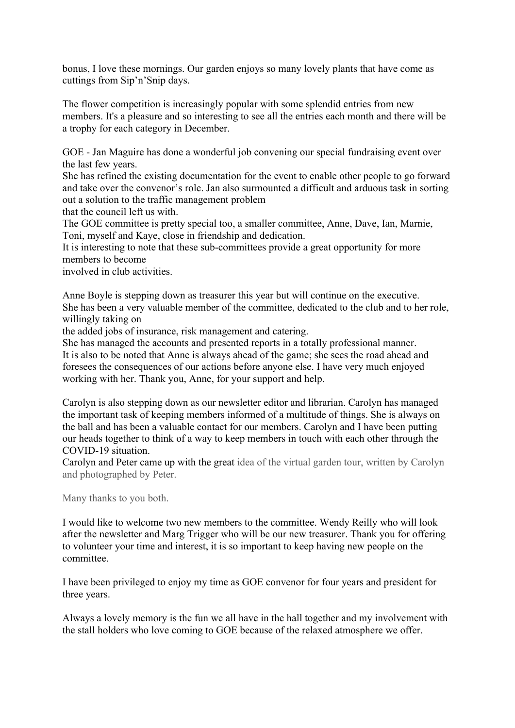bonus, I love these mornings. Our garden enjoys so many lovely plants that have come as cuttings from Sip'n'Snip days.

The flower competition is increasingly popular with some splendid entries from new members. It's a pleasure and so interesting to see all the entries each month and there will be a trophy for each category in December.

GOE - Jan Maguire has done a wonderful job convening our special fundraising event over the last few years.

She has refined the existing documentation for the event to enable other people to go forward and take over the convenor's role. Jan also surmounted a difficult and arduous task in sorting out a solution to the traffic management problem

that the council left us with.

The GOE committee is pretty special too, a smaller committee, Anne, Dave, Ian, Marnie, Toni, myself and Kaye, close in friendship and dedication.

It is interesting to note that these sub-committees provide a great opportunity for more members to become

involved in club activities.

Anne Boyle is stepping down as treasurer this year but will continue on the executive. She has been a very valuable member of the committee, dedicated to the club and to her role, willingly taking on

the added jobs of insurance, risk management and catering.

She has managed the accounts and presented reports in a totally professional manner. It is also to be noted that Anne is always ahead of the game; she sees the road ahead and foresees the consequences of our actions before anyone else. I have very much enjoyed working with her. Thank you, Anne, for your support and help.

Carolyn is also stepping down as our newsletter editor and librarian. Carolyn has managed the important task of keeping members informed of a multitude of things. She is always on the ball and has been a valuable contact for our members. Carolyn and I have been putting our heads together to think of a way to keep members in touch with each other through the COVID-19 situation.

Carolyn and Peter came up with the great idea of the virtual garden tour, written by Carolyn and photographed by Peter.

Many thanks to you both.

I would like to welcome two new members to the committee. Wendy Reilly who will look after the newsletter and Marg Trigger who will be our new treasurer. Thank you for offering to volunteer your time and interest, it is so important to keep having new people on the committee.

I have been privileged to enjoy my time as GOE convenor for four years and president for three years.

Always a lovely memory is the fun we all have in the hall together and my involvement with the stall holders who love coming to GOE because of the relaxed atmosphere we offer.